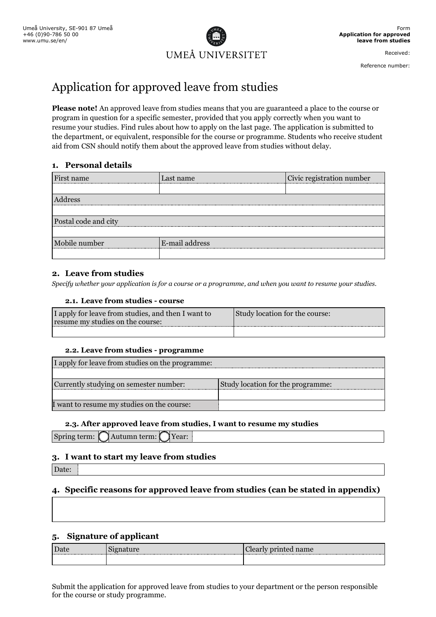

Received:

Reference number:

# Application for approved leave from studies

**Please note!** An approved leave from studies means that you are guaranteed a place to the course or program in question for a specific semester, provided that you apply correctly when you want to resume your studies. Find rules about how to apply on the last page. The application is submitted to the department, or equivalent, responsible for the course or programme. Students who receive student aid from CSN should notify them about the approved leave from studies without delay.

## **1. Personal details**

| First name           | Last name      | Civic registration number |
|----------------------|----------------|---------------------------|
|                      |                |                           |
| Address              |                |                           |
|                      |                |                           |
| Postal code and city |                |                           |
|                      |                |                           |
| Mobile number        | E-mail address |                           |
|                      |                |                           |

### **2. Leave from studies**

*Specify whether your application is for a course or a programme, and when you want to resume your studies.* 

#### **2.1. Leave from studies - course**

| I apply for leave from studies, and then I want to<br>resume my studies on the course: | Study location for the course: |
|----------------------------------------------------------------------------------------|--------------------------------|
|                                                                                        |                                |

#### **2.2. Leave from studies - programme**

| I apply for leave from studies on the programme: |                                   |
|--------------------------------------------------|-----------------------------------|
|                                                  |                                   |
| Currently studying on semester number:           | Study location for the programme: |
|                                                  |                                   |
| I want to resume my studies on the course:       |                                   |

## **2.3. After approved leave from studies, I want to resume my studies**

Spring term:  $\bigcap$  Autumn term:  $\bigcap$  Year:

## **3. I want to start my leave from studies**

Date:

## **4. Specific reasons for approved leave from studies (can be stated in appendix)**

#### **5. Signature of applicant**

| Jate                            | $\sim$                  | $\rho$ rinted name |
|---------------------------------|-------------------------|--------------------|
| ------------------------------- | on was our our own were | Clearl             |
| ------                          |                         |                    |
|                                 |                         |                    |

Submit the application for approved leave from studies to your department or the person responsible for the course or study programme.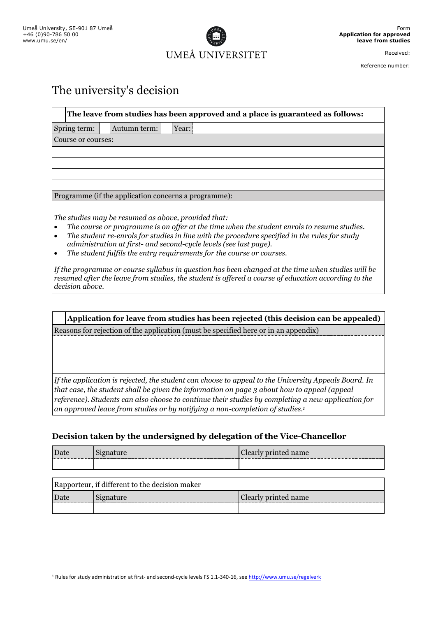$\overline{a}$ 



Received:

Reference number:

# The university's decision

| The leave from studies has been approved and a place is guaranteed as follows: |                                                      |
|--------------------------------------------------------------------------------|------------------------------------------------------|
| Spring term:                                                                   | Year:<br>Autumn term:                                |
| Course or courses:                                                             |                                                      |
|                                                                                |                                                      |
|                                                                                |                                                      |
|                                                                                |                                                      |
|                                                                                |                                                      |
|                                                                                | Programme (if the application concerns a programme): |
|                                                                                |                                                      |
|                                                                                | The studies may be resumed as above, provided that:  |

*The course or programme is on offer at the time when the student enrols to resume studies.*

- *The student re-enrols for studies in line with the procedure specified in the rules for study administration at first- and second-cycle levels (see last page).*
- *The student fulfils the entry requirements for the course or courses.*

*If the programme or course syllabus in question has been changed at the time when studies will be resumed after the leave from studies, the student is offered a course of education according to the decision above.*

**Application for leave from studies has been rejected (this decision can be appealed)** Reasons for rejection of the application (must be specified here or in an appendix)

*If the application is rejected, the student can choose to appeal to the University Appeals Board. In that case, the student shall be given the information on page 3 about how to appeal (appeal reference). Students can also choose to continue their studies by completing a new application for an approved leave from studies or by notifying a non-completion of studies. 1*

# **Decision taken by the undersigned by delegation of the Vice-Chancellor**

| $\mathbf{T}$ | $n$ ame |
|--------------|---------|
|              |         |

| Rapporteur, if different to the decision maker |           |                      |  |
|------------------------------------------------|-----------|----------------------|--|
| Date                                           | Signature | Clearly printed name |  |
|                                                |           |                      |  |

<sup>&</sup>lt;sup>1</sup> Rules for study administration at first- and second-cycle levels FS 1.1-340-16, see <http://www.umu.se/regelverk>